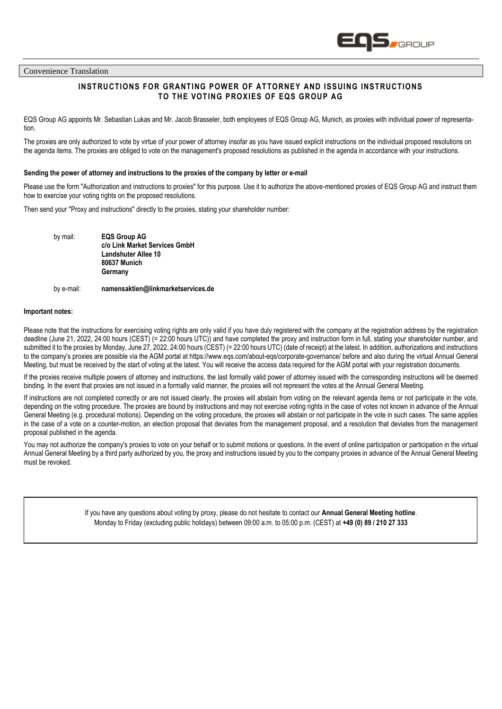

Convenience Translation

# **INSTRUCTIONS FOR GRANTING POWER OF ATTORNEY AND ISSUING INSTRUCTIONS TO THE VOTING PROXIES OF EQS GROUP AG**

EQS Group AG appoints Mr. Sebastian Lukas and Mr. Jacob Brasseler, both employees of EQS Group AG, Munich, as proxies with individual power of representation.

The proxies are only authorized to vote by virtue of your power of attorney insofar as you have issued explicit instructions on the individual proposed resolutions on the agenda items. The proxies are obliged to vote on the management's proposed resolutions as published in the agenda in accordance with your instructions.

#### **Sending the power of attorney and instructions to the proxies of the company by letter or e-mail**

Please use the form "Authorization and instructions to proxies" for this purpose. Use it to authorize the above-mentioned proxies of EQS Group AG and instruct them how to exercise your voting rights on the proposed resolutions.

Then send your "Proxy and instructions" directly to the proxies, stating your shareholder number:

by mail: **EQS Group AG c/o Link Market Services GmbH Landshuter Allee 10 80637 Munich Germany**

## by e-mail: **namensaktien@linkmarketservices.de**

#### **Important notes:**

Please note that the instructions for exercising voting rights are only valid if you have duly registered with the company at the registration address by the registration deadline (June 21, 2022, 24:00 hours (CEST) (= 22:00 hours UTC)) and have completed the proxy and instruction form in full, stating your shareholder number, and submitted it to the proxies by Monday, June 27, 2022, 24:00 hours (CEST) (= 22:00 hours UTC) (date of receipt) at the latest. In addition, authorizations and instructions to the company's proxies are possible via the AGM portal at<https://www.eqs.com/about-eqs/corporate-governance/> before and also during the virtual Annual General Meeting, but must be received by the start of voting at the latest. You will receive the access data required for the AGM portal with your registration documents.

If the proxies receive multiple powers of attorney and instructions, the last formally valid power of attorney issued with the corresponding instructions will be deemed binding. In the event that proxies are not issued in a formally valid manner, the proxies will not represent the votes at the Annual General Meeting.

If instructions are not completed correctly or are not issued clearly, the proxies will abstain from voting on the relevant agenda items or not participate in the vote, depending on the voting procedure. The proxies are bound by instructions and may not exercise voting rights in the case of votes not known in advance of the Annual General Meeting (e.g. procedural motions). Depending on the voting procedure, the proxies will abstain or not participate in the vote in such cases. The same applies in the case of a vote on a counter-motion, an election proposal that deviates from the management proposal, and a resolution that deviates from the management proposal published in the agenda.

You may not authorize the company's proxies to vote on your behalf or to submit motions or questions. In the event of online participation or participation in the virtual Annual General Meeting by a third party authorized by you, the proxy and instructions issued by you to the company proxies in advance of the Annual General Meeting must be revoked.

> If you have any questions about voting by proxy, please do not hesitate to contact our **Annual General Meeting hotline**. Monday to Friday (excluding public holidays) between 09:00 a.m. to 05:00 p.m. (CEST) at **+49 (0) 89 / 210 27 333**